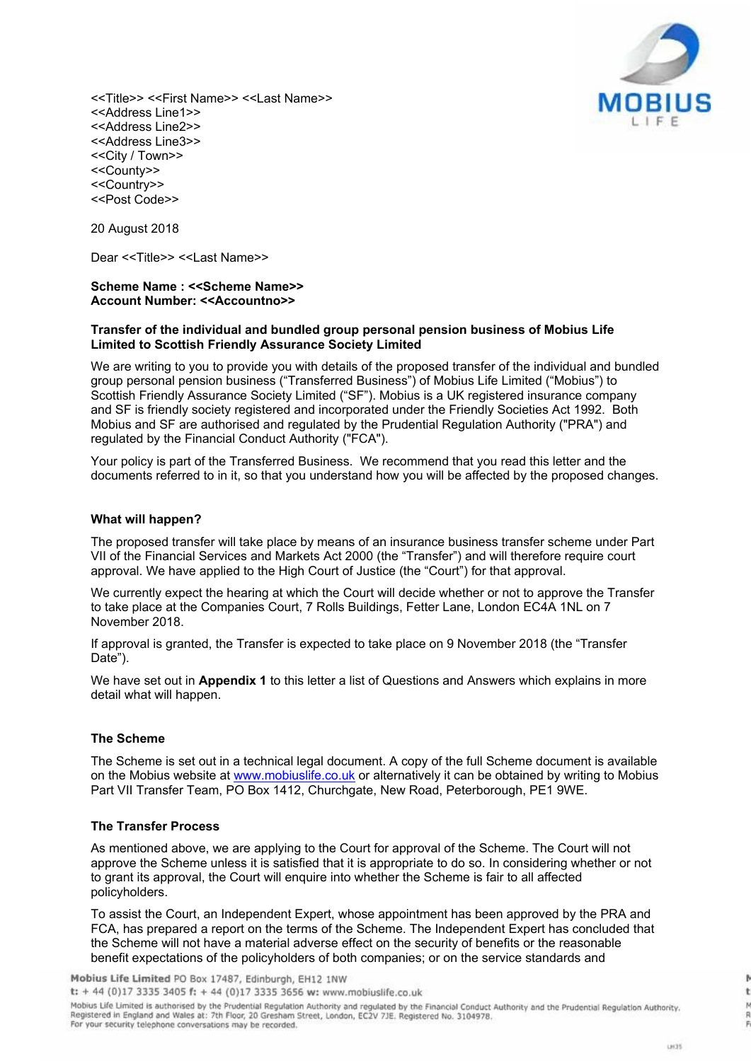

<<Title>> <<First Name>> <<Last Name>> <<Address Line1>> <<Address Line2>> <<Address Line3>> <<City / Town>> <<County>> <<Country>> <<Post Code>>

20 August 2018

Dear <<Title>> <<Last Name>>

#### **Scheme Name : <<Scheme Name>> Account Number: <<Accountno>>**

#### **Transfer of the individual and bundled group personal pension business of Mobius Life Limited to Scottish Friendly Assurance Society Limited**

We are writing to you to provide you with details of the proposed transfer of the individual and bundled group personal pension business ("Transferred Business") of Mobius Life Limited ("Mobius") to Scottish Friendly Assurance Society Limited ("SF"). Mobius is a UK registered insurance company and SF is friendly society registered and incorporated under the Friendly Societies Act 1992. Both Mobius and SF are authorised and regulated by the Prudential Regulation Authority ("PRA") and regulated by the Financial Conduct Authority ("FCA").

Your policy is part of the Transferred Business. We recommend that you read this letter and the documents referred to in it, so that you understand how you will be affected by the proposed changes.

#### **What will happen?**

The proposed transfer will take place by means of an insurance business transfer scheme under Part VII of the Financial Services and Markets Act 2000 (the "Transfer") and will therefore require court approval. We have applied to the High Court of Justice (the "Court") for that approval.

We currently expect the hearing at which the Court will decide whether or not to approve the Transfer to take place at the Companies Court, 7 Rolls Buildings, Fetter Lane, London EC4A 1NL on 7 November 2018.

If approval is granted, the Transfer is expected to take place on 9 November 2018 (the "Transfer Date").

We have set out in **Appendix 1** to this letter a list of Questions and Answers which explains in more detail what will happen.

#### **The Scheme**

The Scheme is set out in a technical legal document. A copy of the full Scheme document is available on the Mobius website at www.mobiuslife.co.uk or alternatively it can be obtained by writing to Mobius Part VII Transfer Team, PO Box 1412, Churchgate, New Road, Peterborough, PE1 9WE.

#### **The Transfer Process**

As mentioned above, we are applying to the Court for approval of the Scheme. The Court will not approve the Scheme unless it is satisfied that it is appropriate to do so. In considering whether or not to grant its approval, the Court will enquire into whether the Scheme is fair to all affected policyholders.

To assist the Court, an Independent Expert, whose appointment has been approved by the PRA and FCA, has prepared a report on the terms of the Scheme. The Independent Expert has concluded that the Scheme will not have a material adverse effect on the security of benefits or the reasonable benefit expectations of the policyholders of both companies; or on the service standards and

Mobius Life Limited PO Box 17487, Edinburgh, EH12 1NW

t: + 44 (0)17 3335 3405 f: + 44 (0)17 3335 3656 w: www.mobiuslife.co.uk

Mobius Life Limited is authorised by the Prudential Regulation Authority and regulated by the Financial Conduct Authority and the Prudential Regulation Authority.<br>Registered in England and Wales at: 7th Floor, 20 Gresham S For your security telephone conversations may be recorded.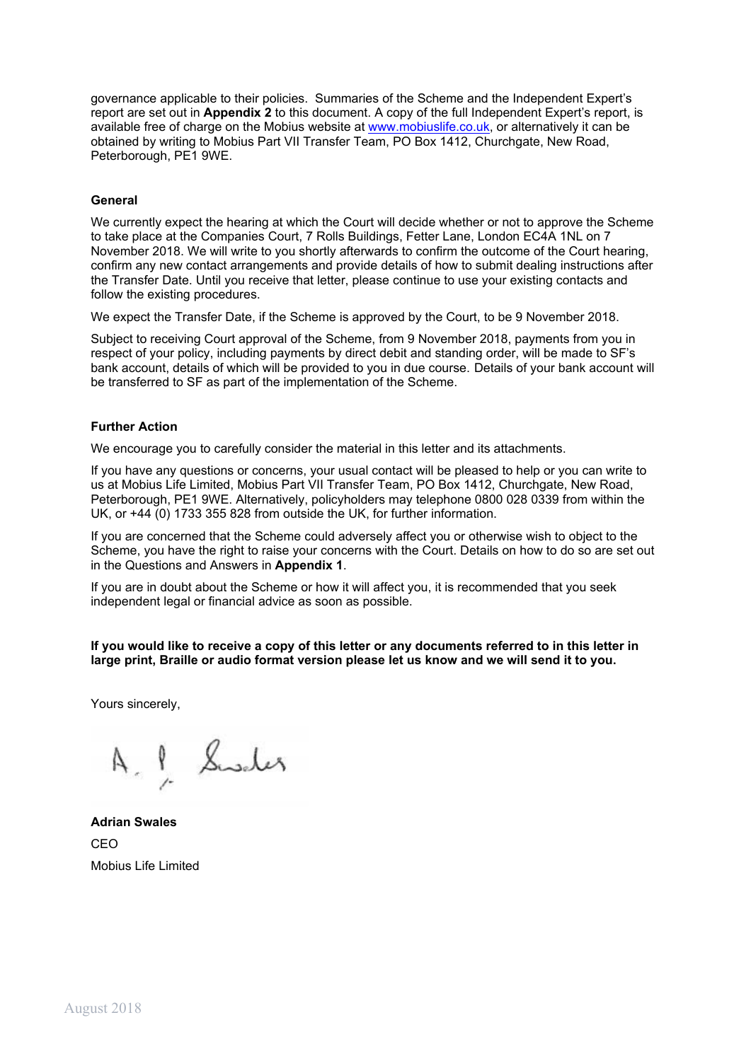governance applicable to their policies. Summaries of the Scheme and the Independent Expert's report are set out in **Appendix 2** to this document. A copy of the full Independent Expert's report, is available free of charge on the Mobius website at www.mobiuslife.co.uk, or alternatively it can be obtained by writing to Mobius Part VII Transfer Team, PO Box 1412, Churchgate, New Road, Peterborough, PE1 9WE.

#### **General**

We currently expect the hearing at which the Court will decide whether or not to approve the Scheme to take place at the Companies Court, 7 Rolls Buildings, Fetter Lane, London EC4A 1NL on 7 November 2018. We will write to you shortly afterwards to confirm the outcome of the Court hearing, confirm any new contact arrangements and provide details of how to submit dealing instructions after the Transfer Date. Until you receive that letter, please continue to use your existing contacts and follow the existing procedures.

We expect the Transfer Date, if the Scheme is approved by the Court, to be 9 November 2018.

Subject to receiving Court approval of the Scheme, from 9 November 2018, payments from you in respect of your policy, including payments by direct debit and standing order, will be made to SF's bank account, details of which will be provided to you in due course. Details of your bank account will be transferred to SF as part of the implementation of the Scheme.

#### **Further Action**

We encourage you to carefully consider the material in this letter and its attachments.

If you have any questions or concerns, your usual contact will be pleased to help or you can write to us at Mobius Life Limited, Mobius Part VII Transfer Team, PO Box 1412, Churchgate, New Road, Peterborough, PE1 9WE. Alternatively, policyholders may telephone 0800 028 0339 from within the UK, or +44 (0) 1733 355 828 from outside the UK, for further information.

If you are concerned that the Scheme could adversely affect you or otherwise wish to object to the Scheme, you have the right to raise your concerns with the Court. Details on how to do so are set out in the Questions and Answers in **Appendix 1**.

If you are in doubt about the Scheme or how it will affect you, it is recommended that you seek independent legal or financial advice as soon as possible.

If you would like to receive a copy of this letter or any documents referred to in this letter in **large print, Braille or audio format version please let us know and we will send it to you.**

Yours sincerely,

A. l Sweder

**Adrian Swales** CEO Mobius Life Limited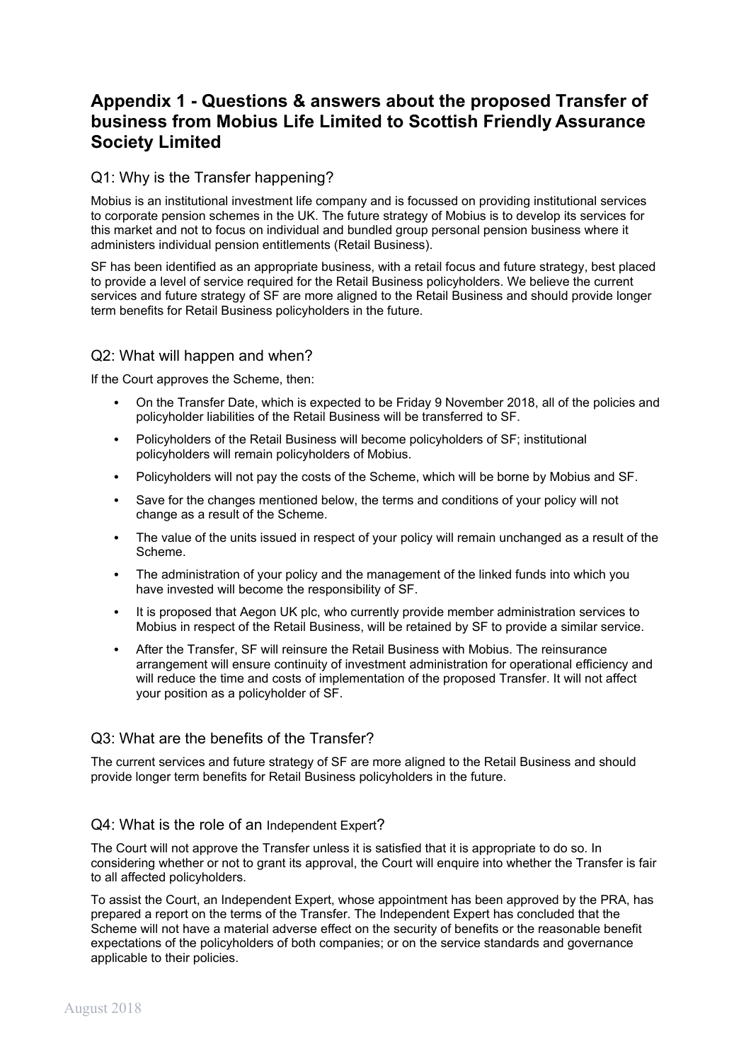# **Appendix 1 - Questions & answers about the proposed Transfer of business from Mobius Life Limited to Scottish Friendly Assurance Society Limited**

## Q1: Why is the Transfer happening?

Mobius is an institutional investment life company and is focussed on providing institutional services to corporate pension schemes in the UK. The future strategy of Mobius is to develop its services for this market and not to focus on individual and bundled group personal pension business where it administers individual pension entitlements (Retail Business).

SF has been identified as an appropriate business, with a retail focus and future strategy, best placed to provide a level of service required for the Retail Business policyholders. We believe the current services and future strategy of SF are more aligned to the Retail Business and should provide longer term benefits for Retail Business policyholders in the future.

### Q2: What will happen and when?

If the Court approves the Scheme, then:

- On the Transfer Date, which is expected to be Friday 9 November 2018, all of the policies and policyholder liabilities of the Retail Business will be transferred to SF.
- Policyholders of the Retail Business will become policyholders of SF; institutional policyholders will remain policyholders of Mobius.
- Policyholders will not pay the costs of the Scheme, which will be borne by Mobius and SF.
- Save for the changes mentioned below, the terms and conditions of your policy will not change as a result of the Scheme.
- The value of the units issued in respect of your policy will remain unchanged as a result of the Scheme.
- The administration of your policy and the management of the linked funds into which you have invested will become the responsibility of SF.
- It is proposed that Aegon UK plc, who currently provide member administration services to Mobius in respect of the Retail Business, will be retained by SF to provide a similar service.
- After the Transfer, SF will reinsure the Retail Business with Mobius. The reinsurance arrangement will ensure continuity of investment administration for operational efficiency and will reduce the time and costs of implementation of the proposed Transfer. It will not affect your position as a policyholder of SF.

### Q3: What are the benefits of the Transfer?

The current services and future strategy of SF are more aligned to the Retail Business and should provide longer term benefits for Retail Business policyholders in the future.

#### Q4: What is the role of an Independent Expert?

The Court will not approve the Transfer unless it is satisfied that it is appropriate to do so. In considering whether or not to grant its approval, the Court will enquire into whether the Transfer is fair to all affected policyholders.

To assist the Court, an Independent Expert, whose appointment has been approved by the PRA, has prepared a report on the terms of the Transfer. The Independent Expert has concluded that the Scheme will not have a material adverse effect on the security of benefits or the reasonable benefit expectations of the policyholders of both companies; or on the service standards and governance applicable to their policies.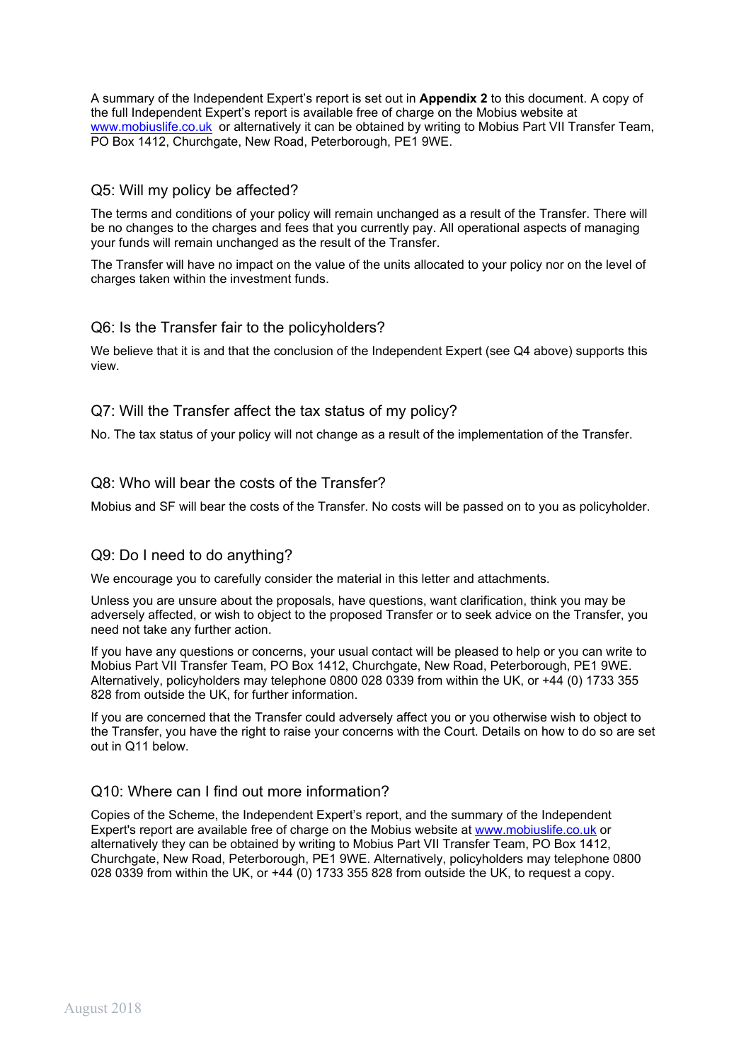A summary of the Independent Expert's report is set out in **Appendix 2** to this document. A copy of the full Independent Expert's report is available free of charge on the Mobius website at www.mobiuslife.co.uk or alternatively it can be obtained by writing to Mobius Part VII Transfer Team, PO Box 1412, Churchgate, New Road, Peterborough, PE1 9WE.

### Q5: Will my policy be affected?

The terms and conditions of your policy will remain unchanged as a result of the Transfer. There will be no changes to the charges and fees that you currently pay. All operational aspects of managing your funds will remain unchanged as the result of the Transfer.

The Transfer will have no impact on the value of the units allocated to your policy nor on the level of charges taken within the investment funds.

### Q6: Is the Transfer fair to the policyholders?

We believe that it is and that the conclusion of the Independent Expert (see Q4 above) supports this view.

### Q7: Will the Transfer affect the tax status of my policy?

No. The tax status of your policy will not change as a result of the implementation of the Transfer.

### Q8: Who will bear the costs of the Transfer?

Mobius and SF will bear the costs of the Transfer. No costs will be passed on to you as policyholder.

### Q9: Do I need to do anything?

We encourage you to carefully consider the material in this letter and attachments.

Unless you are unsure about the proposals, have questions, want clarification, think you may be adversely affected, or wish to object to the proposed Transfer or to seek advice on the Transfer, you need not take any further action.

If you have any questions or concerns, your usual contact will be pleased to help or you can write to Mobius Part VII Transfer Team, PO Box 1412, Churchgate, New Road, Peterborough, PE1 9WE. Alternatively, policyholders may telephone 0800 028 0339 from within the UK, or +44 (0) 1733 355 828 from outside the UK, for further information.

If you are concerned that the Transfer could adversely affect you or you otherwise wish to object to the Transfer, you have the right to raise your concerns with the Court. Details on how to do so are set out in Q11 below.

### Q10: Where can I find out more information?

Copies of the Scheme, the Independent Expert's report, and the summary of the Independent Expert's report are available free of charge on the Mobius website at www.mobiuslife.co.uk or alternatively they can be obtained by writing to Mobius Part VII Transfer Team, PO Box 1412, Churchgate, New Road, Peterborough, PE1 9WE. Alternatively, policyholders may telephone 0800 028 0339 from within the UK, or +44 (0) 1733 355 828 from outside the UK, to request a copy.